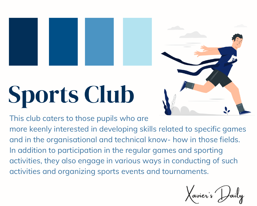## **Sports Club**



This club caters to those pupils who are

more keenly interested in developing skills related to specific games and in the organisational and technical know- how in those fields. In addition to participation in the regular games and sporting activities, they also engage in various ways in conducting of such activities and organizing sports events and tournaments.